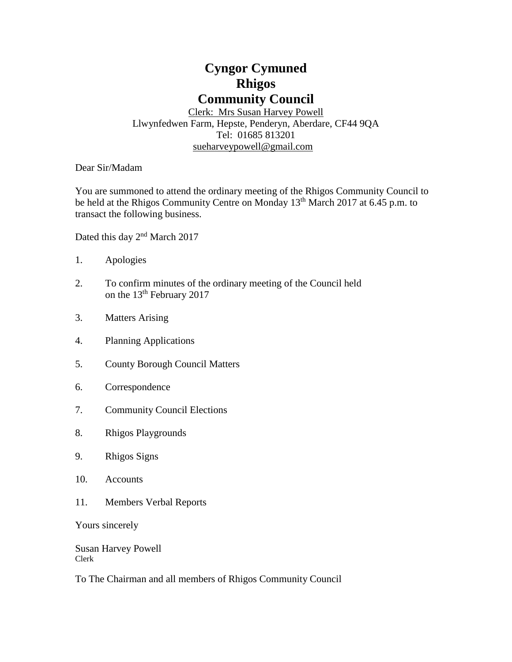# **Cyngor Cymuned Rhigos Community Council**

Clerk: Mrs Susan Harvey Powell Llwynfedwen Farm, Hepste, Penderyn, Aberdare, CF44 9QA Tel: 01685 813201 [sueharveypowell@g](mailto:sharveypowell@comin-infants.co.uk)mail.com

Dear Sir/Madam

You are summoned to attend the ordinary meeting of the Rhigos Community Council to be held at the Rhigos Community Centre on Monday 13<sup>th</sup> March 2017 at 6.45 p.m. to transact the following business.

Dated this day 2<sup>nd</sup> March 2017

- 1. Apologies
- 2. To confirm minutes of the ordinary meeting of the Council held on the 13<sup>th</sup> February 2017
- 3. Matters Arising
- 4. Planning Applications
- 5. County Borough Council Matters
- 6. Correspondence
- 7. Community Council Elections
- 8. Rhigos Playgrounds
- 9. Rhigos Signs
- 10. Accounts
- 11. Members Verbal Reports

Yours sincerely

Susan Harvey Powell Clerk

To The Chairman and all members of Rhigos Community Council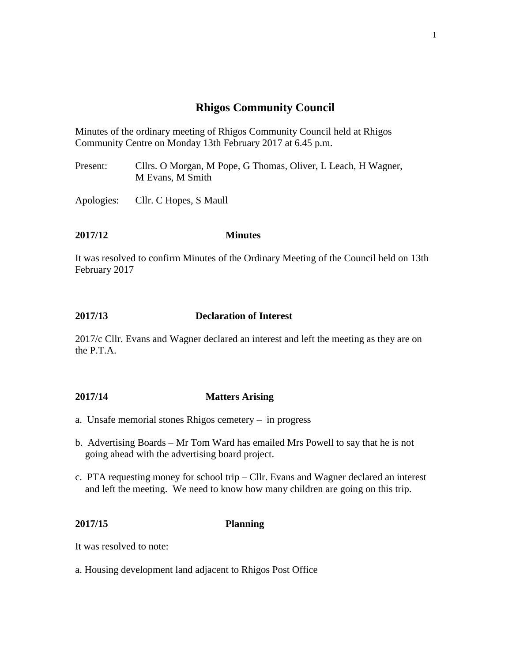# **Rhigos Community Council**

Minutes of the ordinary meeting of Rhigos Community Council held at Rhigos Community Centre on Monday 13th February 2017 at 6.45 p.m.

Present: Cllrs. O Morgan, M Pope, G Thomas, Oliver, L Leach, H Wagner, M Evans, M Smith

Apologies: Cllr. C Hopes, S Maull

## **2017/12 Minutes**

It was resolved to confirm Minutes of the Ordinary Meeting of the Council held on 13th February 2017

### **2017/13 Declaration of Interest**

2017/c Cllr. Evans and Wagner declared an interest and left the meeting as they are on the P.T.A.

### **2017/14 Matters Arising**

- a. Unsafe memorial stones Rhigos cemetery in progress
- b. Advertising Boards Mr Tom Ward has emailed Mrs Powell to say that he is not going ahead with the advertising board project.
- c. PTA requesting money for school trip Cllr. Evans and Wagner declared an interest and left the meeting. We need to know how many children are going on this trip.

#### **2017/15 Planning**

It was resolved to note:

a. Housing development land adjacent to Rhigos Post Office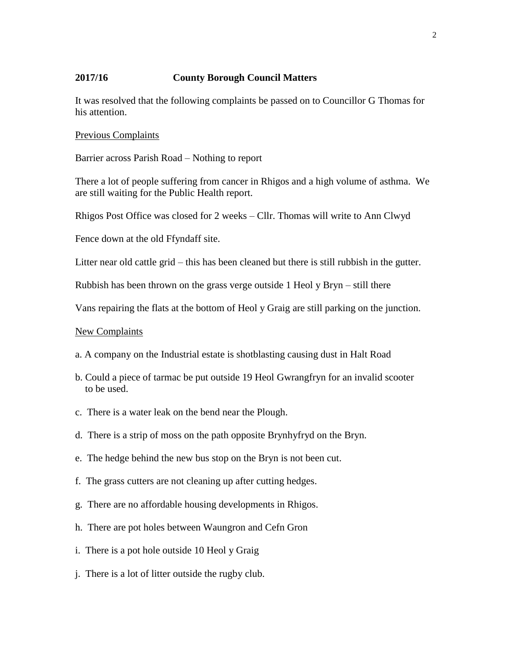#### **2017/16 County Borough Council Matters**

It was resolved that the following complaints be passed on to Councillor G Thomas for his attention.

#### Previous Complaints

Barrier across Parish Road – Nothing to report

There a lot of people suffering from cancer in Rhigos and a high volume of asthma. We are still waiting for the Public Health report.

Rhigos Post Office was closed for 2 weeks – Cllr. Thomas will write to Ann Clwyd

Fence down at the old Ffyndaff site.

Litter near old cattle grid – this has been cleaned but there is still rubbish in the gutter.

Rubbish has been thrown on the grass verge outside 1 Heol y Bryn – still there

Vans repairing the flats at the bottom of Heol y Graig are still parking on the junction.

#### New Complaints

- a. A company on the Industrial estate is shotblasting causing dust in Halt Road
- b. Could a piece of tarmac be put outside 19 Heol Gwrangfryn for an invalid scooter to be used.
- c. There is a water leak on the bend near the Plough.
- d. There is a strip of moss on the path opposite Brynhyfryd on the Bryn.
- e. The hedge behind the new bus stop on the Bryn is not been cut.
- f. The grass cutters are not cleaning up after cutting hedges.
- g. There are no affordable housing developments in Rhigos.
- h. There are pot holes between Waungron and Cefn Gron
- i. There is a pot hole outside 10 Heol y Graig
- j. There is a lot of litter outside the rugby club.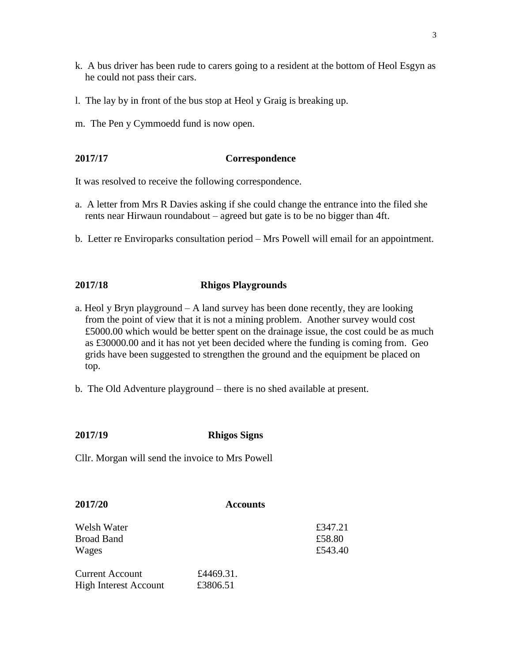- k. A bus driver has been rude to carers going to a resident at the bottom of Heol Esgyn as he could not pass their cars.
- l. The lay by in front of the bus stop at Heol y Graig is breaking up.
- m. The Pen y Cymmoedd fund is now open.

#### **2017/17 Correspondence**

It was resolved to receive the following correspondence.

- a. A letter from Mrs R Davies asking if she could change the entrance into the filed she rents near Hirwaun roundabout – agreed but gate is to be no bigger than 4ft.
- b. Letter re Enviroparks consultation period Mrs Powell will email for an appointment.

### **2017/18 Rhigos Playgrounds**

- a. Heol y Bryn playground  $-A$  land survey has been done recently, they are looking from the point of view that it is not a mining problem. Another survey would cost £5000.00 which would be better spent on the drainage issue, the cost could be as much as £30000.00 and it has not yet been decided where the funding is coming from. Geo grids have been suggested to strengthen the ground and the equipment be placed on top.
- b. The Old Adventure playground there is no shed available at present.

### **2017/19 Rhigos Signs**

Cllr. Morgan will send the invoice to Mrs Powell

| 2017/20                      | <b>Accounts</b> |         |
|------------------------------|-----------------|---------|
| Welsh Water                  |                 | £347.21 |
| <b>Broad Band</b>            |                 | £58.80  |
| Wages                        |                 | £543.40 |
| <b>Current Account</b>       | £4469.31.       |         |
| <b>High Interest Account</b> | £3806.51        |         |